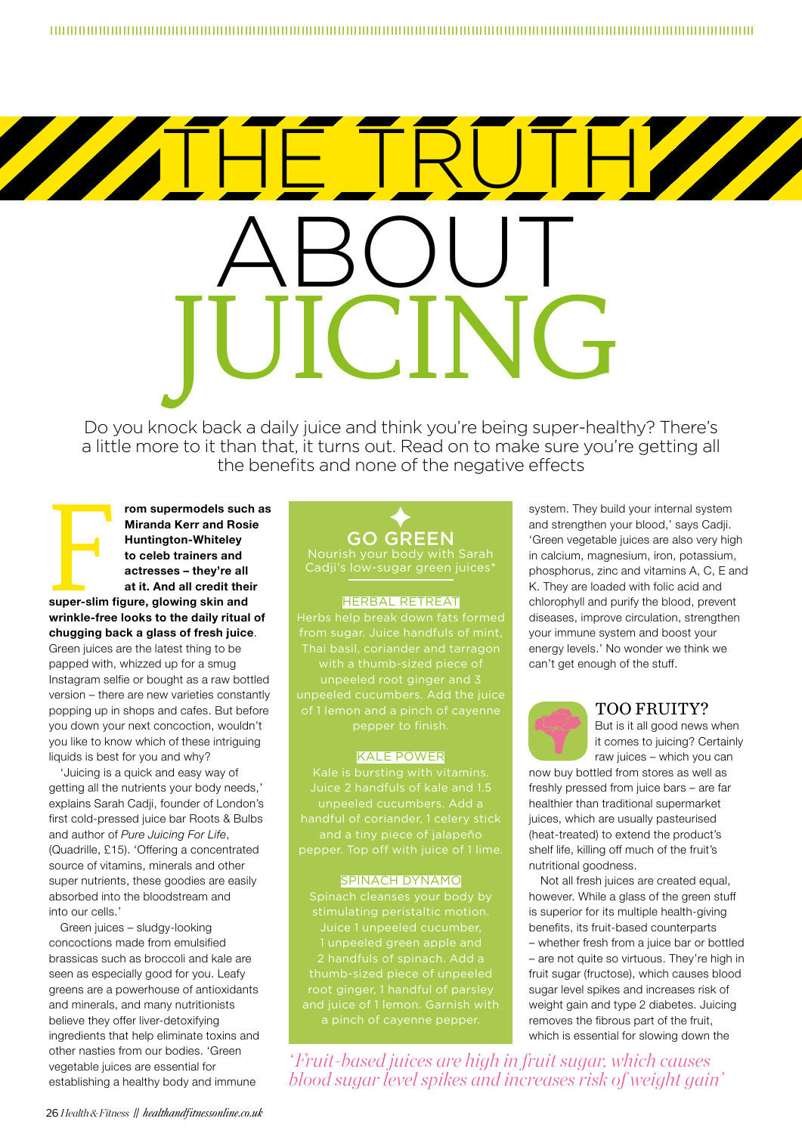# ABOUT JUICING THE TRUTH

Do you knock back a daily juice and think you're being super-healthy? There's a little more to it than that, it turns out. Read on to make sure you're getting all the benefits and none of the negative effects

Frame Supermodels such<br>
Miranda Kerr and Rosi<br>
Huntington-Whiteley<br>
to celeb trainers and<br>
actresses – they're all<br>
at it. And all credit the<br>
super-slim figure, glowing skin and<br>
at it. And all credit the **rom supermodels such as Miranda Kerr and Rosie Huntington-Whiteley to celeb trainers and actresses – they're all at it. And all credit their wrinkle-free looks to the daily ritual of chugging back a glass of fresh juice**.

Green juices are the latest thing to be papped with, whizzed up for a smug Instagram selfie or bought as a raw bottled version – there are new varieties constantly popping up in shops and cafes. But before you down your next concoction, wouldn't you like to know which of these intriguing liquids is best for you and why?

'Juicing is a quick and easy way of getting all the nutrients your body needs,' explains Sarah Cadji, founder of London's first cold-pressed juice bar Roots & Bulbs and author of *Pure Juicing For Life*, (Quadrille, £15). 'Offering a concentrated source of vitamins, minerals and other super nutrients, these goodies are easily absorbed into the bloodstream and into our cells.'

Green juices – sludgy-looking concoctions made from emulsified brassicas such as broccoli and kale are seen as especially good for you. Leafy greens are a powerhouse of antioxidants and minerals, and many nutritionists believe they offer liver-detoxifying ingredients that help eliminate toxins and other nasties from our bodies. 'Green vegetable juices are essential for establishing a healthy body and immune

# $\blacklozenge$ GO GREEN

Cadji's low-sugar green juices\*

#### HERBAL RETREAT

from sugar. Juice handfuls of mint, Thai basil, coriander and tarragon

#### KALE POWER

pepper. Top off with juice of 1 lime.

#### SPINACH DYNAMO

Spinach cleanses your body by stimulating peristaltic motion. Juice 1 unpeeled cucumber, root ginger, 1 handful of parsley

*' Fruit-based juices are high in fruit sugar, which causes blood sugar level spikes and increases risk of weight gain'*

system. They build your internal system and strengthen your blood,' says Cadji. 'Green vegetable juices are also very high in calcium, magnesium, iron, potassium, phosphorus, zinc and vitamins A, C, E and K. They are loaded with folic acid and chlorophyll and purify the blood, prevent diseases, improve circulation, strengthen your immune system and boost your energy levels.' No wonder we think we can't get enough of the stuff.

# TOO FRUITY?



it comes to juicing? Certainly raw juices – which you can

now buy bottled from stores as well as freshly pressed from juice bars – are far healthier than traditional supermarket juices, which are usually pasteurised (heat-treated) to extend the product's shelf life, killing off much of the fruit's nutritional goodness.

Not all fresh juices are created equal, however. While a glass of the green stuff is superior for its multiple health-giving benefits, its fruit-based counterparts – whether fresh from a juice bar or bottled – are not quite so virtuous. They're high in fruit sugar (fructose), which causes blood sugar level spikes and increases risk of weight gain and type 2 diabetes. Juicing removes the fibrous part of the fruit, which is essential for slowing down the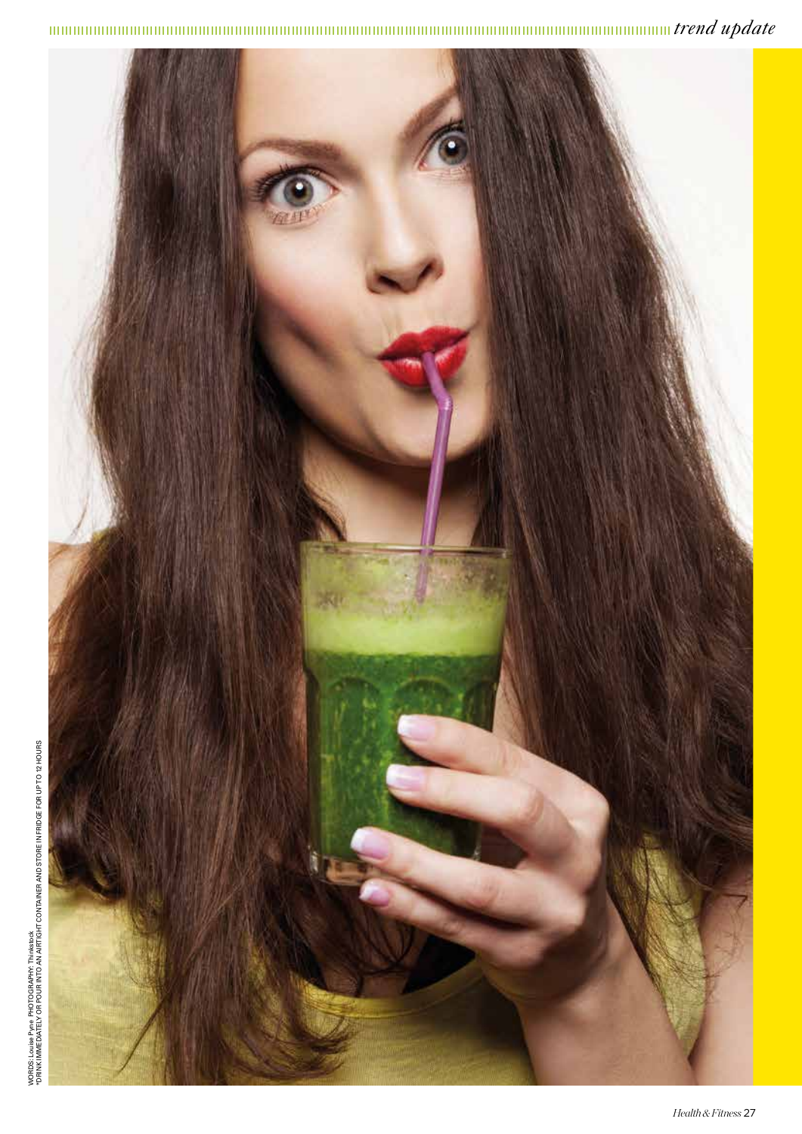